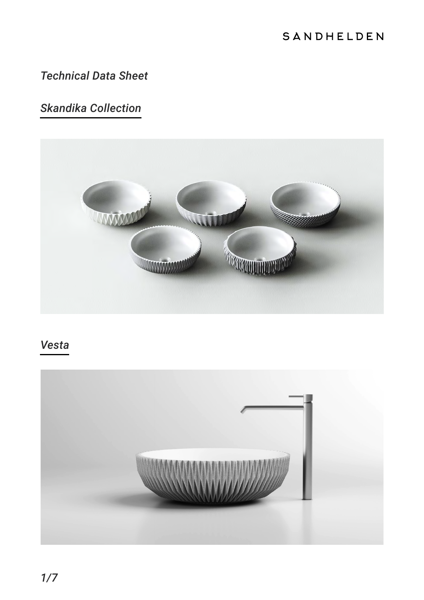### SANDHELDEN

### *Technical Data Sheet*

# *Skandika Collection*



### *Vesta*

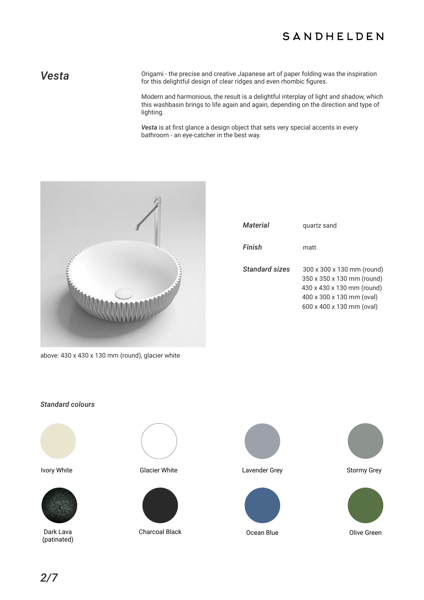### SANDHELDEN

Vesta **Vesta** Origami - the precise and creative Japanese art of paper folding was the inspiration for this delightful design of clear ridges and even rhombic figures.

> Modern and harmonious, the result is a delightful interplay of light and shadow, which this washbasin brings to life again and again, depending on the direction and type of lighting.

*Vesta* is at first glance a design object that sets very special accents in every bathroom - an eye-catcher in the best way.



| Material       | quartz sand                                                                                                                                      |
|----------------|--------------------------------------------------------------------------------------------------------------------------------------------------|
| Finish         | matt                                                                                                                                             |
| Standard sizes | 300 x 300 x 130 mm (round)<br>350 x 350 x 130 mm (round)<br>430 x 430 x 130 mm (round)<br>400 x 300 x 130 mm (oval)<br>600 x 400 x 130 mm (oval) |

above: 430 x 430 x 130 mm (round), glacier white

### *Standard colours*





Dark Lava (patinated)





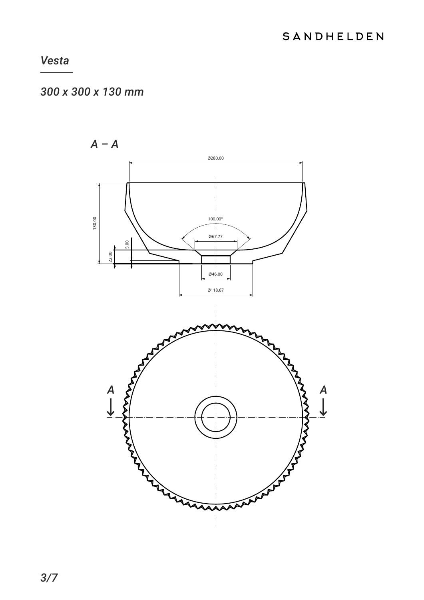## 300 x 300 x 130 mm

 $A - A$ 0280.00 130.00  $100^{1}_{1}00^{\circ}$  $067.77$ 5.00 22.00 Ø46.00 0118.67 **MANAMAN**  $\begin{array}{c}\nA \\
\downarrow\n\end{array}$  $\overline{A}$  $\blacklozenge$ **APP**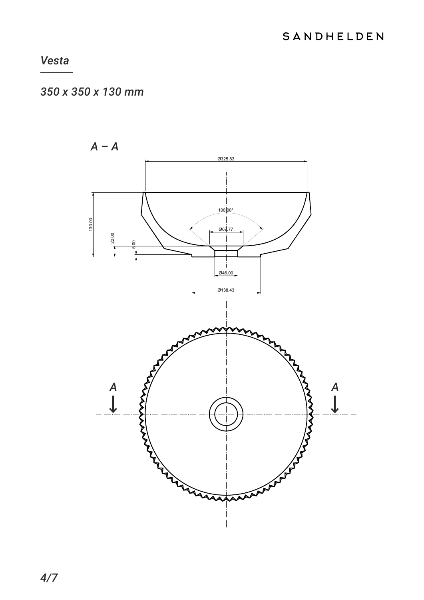## 350 x 350 x 130 mm

 $A - A$ Ø325.83 100 00° 130.00 067.77  $2.00$  $\overline{\phantom{a}}$ 046.00 0138.43  $\begin{array}{c}\nA \\
\downarrow\n\end{array}$ MAR  $\begin{array}{c}\nA \\
\downarrow\n\end{array}$ MAXXXX **RANTA**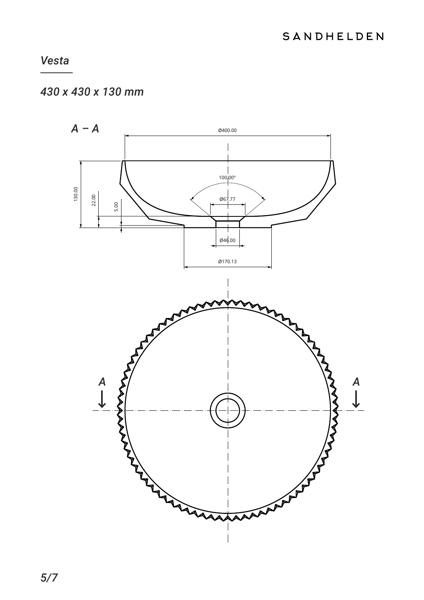# 430 x 430 x 130 mm

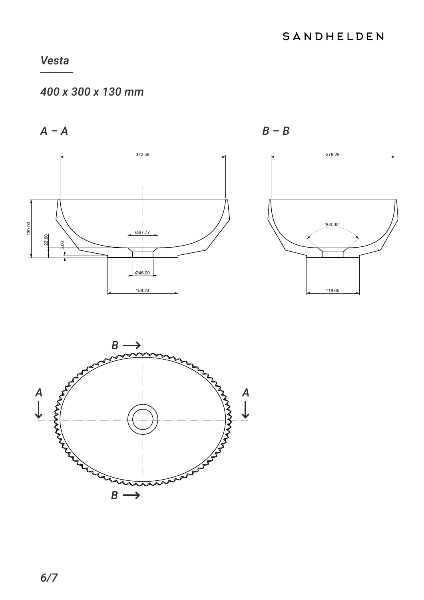# 400 x 300 x 130 mm

 $A - A$ 







 $B - B$